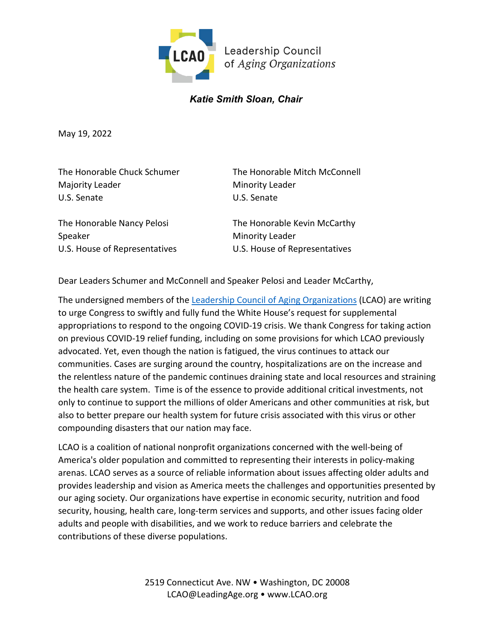

## *Katie Smith Sloan, Chair*

May 19, 2022

Majority Leader Minority Leader U.S. Senate U.S. Senate

The Honorable Chuck Schumer The Honorable Mitch McConnell

Speaker Minority Leader

The Honorable Nancy Pelosi The Honorable Kevin McCarthy U.S. House of Representatives U.S. House of Representatives

Dear Leaders Schumer and McConnell and Speaker Pelosi and Leader McCarthy,

The undersigned members of the [Leadership Council of Aging Organizations](https://www.lcao.org/) (LCAO) are writing to urge Congress to swiftly and fully fund the White House's request for supplemental appropriations to respond to the ongoing COVID-19 crisis. We thank Congress for taking action on previous COVID-19 relief funding, including on some provisions for which LCAO previously advocated. Yet, even though the nation is fatigued, the virus continues to attack our communities. Cases are surging around the country, hospitalizations are on the increase and the relentless nature of the pandemic continues draining state and local resources and straining the health care system. Time is of the essence to provide additional critical investments, not only to continue to support the millions of older Americans and other communities at risk, but also to better prepare our health system for future crisis associated with this virus or other compounding disasters that our nation may face.

LCAO is a coalition of national nonprofit organizations concerned with the well-being of America's older population and committed to representing their interests in policy-making arenas. LCAO serves as a source of reliable information about issues affecting older adults and provides leadership and vision as America meets the challenges and opportunities presented by our aging society. Our organizations have expertise in economic security, nutrition and food security, housing, health care, long-term services and supports, and other issues facing older adults and people with disabilities, and we work to reduce barriers and celebrate the contributions of these diverse populations.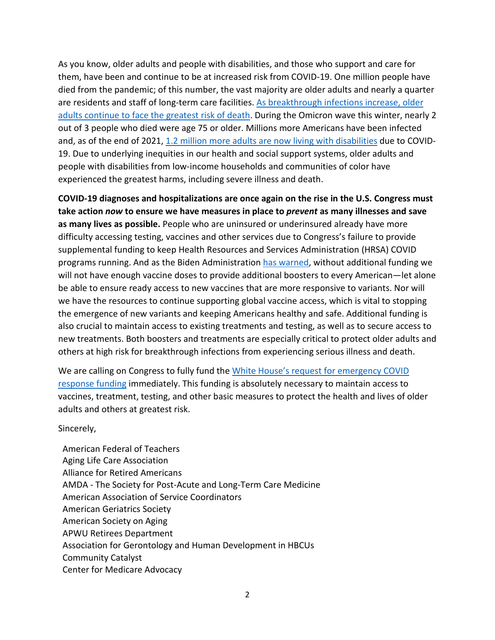As you know, older adults and people with disabilities, and those who support and care for them, have been and continue to be at increased risk from COVID-19. One million people have died from the pandemic; of this number, the vast majority are older adults and nearly a quarter are residents and staff of long-term care facilities. [As breakthrough infections increase, older](https://www.washingtonpost.com/politics/2022/04/29/growing-percentage-americans-dying-covid-19-are-vaccinated/)  [adults continue to face the greatest risk of death.](https://www.washingtonpost.com/politics/2022/04/29/growing-percentage-americans-dying-covid-19-are-vaccinated/) During the Omicron wave this winter, nearly 2 out of 3 people who died were age 75 or older. Millions more Americans have been infected and, as of the end of 2021, [1.2 million more adults are now living with disabilities](https://www.americanprogress.org/article/covid-19-likely-resulted-in-1-2-million-more-disabled-people-by-the-end-of-2021-workplaces-and-policy-will-need-to-adapt/) due to COVID-19. Due to underlying inequities in our health and social support systems, older adults and people with disabilities from low-income households and communities of color have experienced the greatest harms, including severe illness and death.

**COVID-19 diagnoses and hospitalizations are once again on the rise in the U.S. Congress must take action** *now* **to ensure we have measures in place to** *prevent* **as many illnesses and save as many lives as possible.** People who are uninsured or underinsured already have more difficulty accessing testing, vaccines and other services due to Congress's failure to provide supplemental funding to keep Health Resources and Services Administration (HRSA) COVID programs running. And as the Biden Administration [has warned,](https://www.whitehouse.gov/briefing-room/statements-releases/2022/04/27/fact-sheet-biden-administration-underscores-urgent-need-for-additional-covid-19-response-funding-and-the-severe-consequences-of-congressional-inaction/) without additional funding we will not have enough vaccine doses to provide additional boosters to every American—let alone be able to ensure ready access to new vaccines that are more responsive to variants. Nor will we have the resources to continue supporting global vaccine access, which is vital to stopping the emergence of new variants and keeping Americans healthy and safe. Additional funding is also crucial to maintain access to existing treatments and testing, as well as to secure access to new treatments. Both boosters and treatments are especially critical to protect older adults and others at high risk for breakthrough infections from experiencing serious illness and death.

We are calling on Congress to fully fund the [White House's request for emergency COVID](https://www.documentcloud.org/documents/21417654-covid-letter_pelosi-31521)  [response funding](https://www.documentcloud.org/documents/21417654-covid-letter_pelosi-31521) immediately. This funding is absolutely necessary to maintain access to vaccines, treatment, testing, and other basic measures to protect the health and lives of older adults and others at greatest risk.

Sincerely,

American Federal of Teachers Aging Life Care Association Alliance for Retired Americans AMDA - The Society for Post-Acute and Long-Term Care Medicine American Association of Service Coordinators American Geriatrics Society American Society on Aging APWU Retirees Department Association for Gerontology and Human Development in HBCUs Community Catalyst Center for Medicare Advocacy